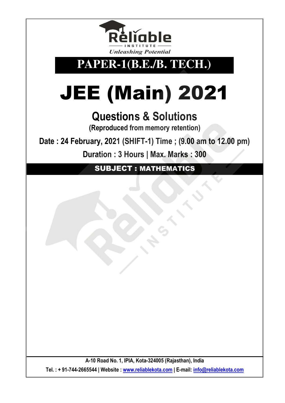

## **PAPER-1(B.E./B. TECH.)**

## JEE (Main) 2021

## **Questions & Solutions**

**(Reproduced from memory retention)** 

**Date : 24 February, 2021 (SHIFT-1) Time ; (9.00 am to 12.00 pm)**

**Duration : 3 Hours | Max. Marks : 300** 

SUBJECT : MATHEMATICS

**A-10 Road No. 1, IPIA, Kota-324005 (Rajasthan), India Tel. : + 91-744-2665544 | Website : www.reliablekota.com | E-mail: info@reliablekota.com**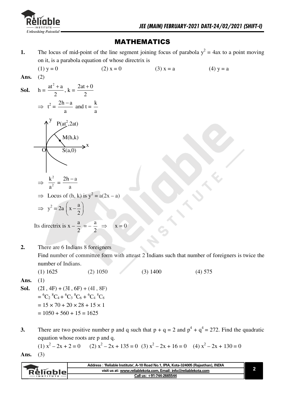

## **MATHEMATICS**

The locus of mid-point of the line segment joining focus of parabola  $y^2 = 4ax$  to a point moving 1. on it, is a parabola equation of whose directrix is

(1) y = 0  
\n2) x = 0  
\n3) x = a  
\n3) x = a  
\n3) x = a  
\n3) x = a  
\n4) y = a  
\n3) x = a  
\n(A) y = a  
\n4) y = a  
\n4) y = a  
\n5a.  
\n(b) y = a  
\n(c) y = a  
\n(d) y = a  
\n3) x = a  
\n3) x = a  
\n4) y = a  
\n(a) y = a  
\n(b) y = a  
\n(c) y = a  
\n(d) y = a  
\n(e) y = a  
\n(e) y = a  
\n(f) y = a  
\n2) y<sup>2</sup> = 2a (x - 
$$
\frac{a}{2}
$$
)  
\n2) Is directrix is x -  $\frac{a}{2}$  = - $\frac{a}{2}$   $\Rightarrow$  x = 0

There are 6 Indians 8 foreigners  $2.$ Find number of committee form with atteast 2 Indians such that number of foreigners is twice the number of Indians.

 $(1)$  1625  $(3)$  1400  $(2) 1050$  $(4) 575$ 

Ans.  $(1)$ 

- $(2I, 4F) + (3I, 6F) + (4I, 8F)$ Sol.  $= {}^{6}C_{2} {}^{8}C_{4} + {}^{6}C_{3} {}^{8}C_{6} + {}^{6}C_{4} {}^{8}C_{8}$  $= 15 \times 70 + 20 \times 28 + 15 \times 1$  $= 1050 + 560 + 15 = 1625$
- There are two positive number p and q such that  $p + q = 2$  and  $p^4 + q^4 = 272$ . Find the quadratic  $3.$ equation whose roots are p and q.

(1)  $x^2 - 2x + 2 = 0$  (2)  $x^2 - 2x + 135 = 0$  (3)  $x^2 - 2x + 16 = 0$  (4)  $x^2 - 2x + 130 = 0$  $(3)$ 

Ans.

|                  | : 'Reliable Institute', A-10 Road No.1, IPIA, Kota-324005 (Rajasthan), INDIA |  |
|------------------|------------------------------------------------------------------------------|--|
| <b>Relignie</b>  | visit us at: www.reliablekota.com. Email: info@reliablekota.com              |  |
| <b>INSTITUTE</b> | Call us: +91-744-2665544                                                     |  |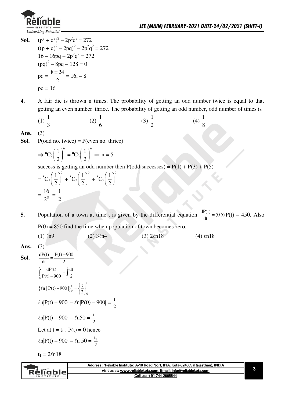

**Sol.**  $(p^2 + q^2)^2 - 2p^2q^2 = 272$ 

$$
((p + q)2 - 2pq)2 - 2p2q2 = 272
$$
  
16 - 16pq + 2p<sup>2</sup>q<sup>2</sup> = 272  
(pq)<sup>2</sup> - 8pq - 128 = 0  
pq =  $\frac{8 \pm 24}{2}$  = 16, -8  
pq = 16

**4.** A fair die is thrown n times. The probability of getting an odd number twice is equal to that getting an even number thrice. The probability of getting an odd number, odd number of times is

(1) 
$$
\frac{1}{3}
$$
 (2)  $\frac{1}{6}$  (3)  $\frac{1}{2}$  (4)  $\frac{1}{8}$ 

**Ans.** (3)

**Sol.**  $P(odd\ no.\ twice) = P(even\ no.\ thrice)$ 

$$
\Rightarrow {}^{n}C_{2}\left(\frac{1}{2}\right)^{n} = {}^{n}C_{3}\left(\frac{1}{2}\right)^{n} \Rightarrow n = 5
$$

success is getting an odd number then P(odd successes) =  $P(1) + P(3) + P(5)$ 

$$
= {}^{5}C_{1} \left(\frac{1}{2}\right)^{5} + {}^{5}C_{3} \left(\frac{1}{2}\right)^{5} + {}^{5}C_{5} \left(\frac{1}{2}\right)^{5}
$$

$$
= \frac{16}{2^{5}} = \frac{1}{2}
$$

**5.** Population of a town at time t is given by the differential equation  $\frac{dP(t)}{dt} = (0.5)$  $\frac{d(t)}{dt}$  = (0.5) P(t) – 450. Also  $P(0) = 850$  find the time when population of town becomes zero.

(1)  $ln9$  (2)  $3ln4$  (3)  $2ln18$  (4)  $ln18$ 

Ans. 
$$
(3)
$$

**Sol.**  $\frac{dP(t)}{dt} = \frac{P(t) - 900}{2}$  $dt$  2  $\int_{0}^{t} \frac{dP(t)}{P(t) - 900} = \int_{0}^{t} \frac{dt}{2}$  $_0$   $\sim$   $\sim$   $_0$  $dP(t)$   $\int d^t f$  $P(t) - 900 \frac{J}{0}$  2  $\{ln | P(t) - 900 | \}^{t}_{0} = \left\{ \frac{t}{2} \right\}_{0}^{t}$  $t \left[t\right]$ <sup>t</sup>  $^{\circ}$  (2)<sub>0</sub>  $\ln |P(t) - 900|$  $\Big|_0^t = \left\{ \frac{t}{2} \right\}$  $\ln|\mathbf{P(t)} - 900| - \ln|\mathbf{P(0)} - 900| = \frac{t}{2}$  $\ln|\mathbf{P(t)} - 900| - \ln 50 = \frac{t}{2}$ Let at  $t=t_1$ ,  $P(t)=0$  hence  $ln|P(t) - 900| - ln 50 = \frac{t_1}{2}$ 

 $\overline{\mathbf{c}}$ 

 $t_1 = 2ln18$ 

**Address : 'Reliable Institute', A-10 Road No.1, IPIA, Kota-324005 (Rajasthan), INDIA visit us at: www.reliablekota.com, Email: info@reliablekota.com Call us: +91-744-2665544 3**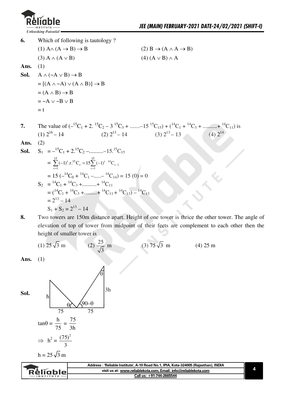

6. Which of following is tautology?  $(1)$  A $\wedge$   $(A \rightarrow B) \rightarrow B$  $(2) B \rightarrow (A \land A \rightarrow B)$  $(3)$  A  $\wedge$   $(A \vee B)$  $(4) (A \vee B) \wedge A$  $(1)$ Ans.  $A \wedge (\neg A \vee B) \rightarrow B$ Sol.  $= [(A \wedge \neg A) \vee (A \wedge B)] \rightarrow B$  $=(A \wedge B) \rightarrow B$  $= \sim A \vee \sim B \vee B$  $= t$ The value of  $(-{}^{15}C_1 + 2. {}^{15}C_2 - 3. {}^{15}C_3 + \dots + {}^{15}C_{15}) + ({}^{14}C_1 + {}^{14}C_3 + \dots + {}^{14}C_{11})$  is 7. (2)  $2^{13} - 14$  (3)  $2^{13} - 13$  $(4)$   $2^{14}$  $(1)$   $2^{16} - 14$  $(2)$ Ans.  $S_1 = -{}^{15}C_1 + 2.{}^{15}C_2 - \dots + {}^{15}C_{15}$ Sol. =  $\sum_{r=1}^{15} (-1)^r \cdot r^{15} C_r = 15 \sum_{r=1}^{15} (-1)^{r-14} C_{r-1}$ = 15  $(-^{14}C_0 + {}^{14}C_1 - ... - {}^{14}C_{14}) = 15(0) = 0$  $S_2 = {}^{14}C_1 + {}^{14}C_3 + ... + {}^{14}C_{11}$  $=(1^4C_1 + {^{14}C_3} + ... + {^{14}C_{11}} + {^{14}C_{13}}) - {^{14}C_{13}}$  $= 2^{13} - 14$  $S_1 + S_2 = 2^{13} - 14$ 

8.

liable

Two towers are 150m distance apart. Height of one tower is thrice the other tower. The angle of elevation of top of tower from midpoint of their feets are complement to each other then the height of smaller tower is

visit us at: www.reliablekota.com, Email: info@reliablekota.com

Call us: +91-744-2665544

(1) 
$$
25\sqrt{3}
$$
 m  
\n**Ans.** (1)  
\n**SoI.**  
\n
$$
h \n\begin{bmatrix}\n\frac{25}{\sqrt{3}} & m & (3) 75\sqrt{3} & m & (4) 25 \text{ m} \\
\frac{4}{\sqrt{3}} & \frac{25}{\sqrt{3}} & m & (3) 75\sqrt{3} & m & (4) 25 \text{ m}\n\end{bmatrix}
$$
\n
$$
3h
$$
\n
$$
\Rightarrow h^2 = \frac{75}{75}
$$
\n
$$
h = 25\sqrt{3} \text{ m}
$$
\n
$$
4d
$$
\n
$$
4d
$$
\n
$$
4d
$$
\n
$$
4d
$$
\n
$$
4d
$$
\n
$$
4d
$$
\n
$$
4d
$$
\n
$$
4d
$$
\n
$$
4d
$$
\n
$$
4d
$$
\n
$$
4d
$$
\n
$$
4d
$$
\n
$$
4d
$$
\n
$$
4d
$$
\n
$$
4d
$$
\n
$$
4d
$$
\n
$$
4d
$$
\n
$$
4d
$$
\n
$$
4d
$$
\n
$$
4d
$$
\n
$$
4d
$$
\n
$$
4d
$$
\n
$$
4d
$$
\n
$$
4d
$$
\n
$$
4d
$$
\n
$$
4d
$$
\n
$$
4d
$$
\n
$$
4d
$$
\n
$$
4d
$$
\n
$$
4d
$$
\n
$$
4d
$$
\n
$$
4d
$$
\n
$$
4d
$$
\n
$$
4d
$$
\n
$$
4d
$$
\n
$$
4d
$$
\n
$$
4d
$$
\n
$$
4d
$$
\n
$$
4d
$$
\n
$$
4d
$$
\n
$$
4d
$$
\n
$$
4d
$$
\n
$$
4d
$$
\n
$$
4d
$$
\n
$$
4d
$$
\n
$$
4d
$$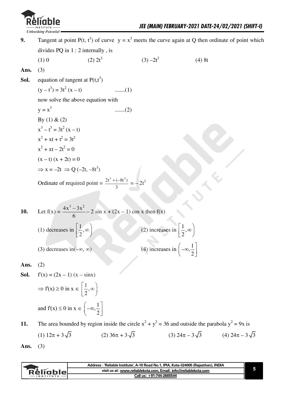

Tangent at point P(t, t<sup>3</sup>) of curve  $y = x^3$  meets the curve again at Q then ordinate of point which  $9<sub>1</sub>$ divides PQ in  $1:2$  internally, is  $(1)0$  $(2) 2t^3$  $(3) -2t^3$  $(4) 8t$ Ans.  $(3)$ equation of tangent at  $P(t,t^3)$ Sol.  $(y - t^3) = 3t^2 (x - t)$  $......(1)$ now solve the above equation with  $y = x^3$  $......(2)$ By (1) & (2)  $x^3 - t^3 = 3t^2$  (x - t)  $x^{2}$  + xt + t<sup>2</sup> = 3t<sup>2</sup>  $x^2 + xt - 2t^2 = 0$  $(x - t) (x + 2t) = 0$  $\Rightarrow$  x = -2t  $\Rightarrow$  Q (-2t, -8t<sup>3</sup>) Ordinate of required point =  $\frac{2t^3 + (-8t^3)}{3}$  =  $-2t^3$ Let  $f(x) = \frac{4x^3 - 3x^2}{6} - 2 \sin x + (2x - 1) \cos x$  then  $f(x)$ 10. (2) increases in  $\left(\frac{1}{2}, \infty\right)$ (1) decreases in  $\left(\frac{1}{2}, \infty\right)$ (4) increases in  $\left(-\infty, \frac{1}{2}\right)$ (3) decreases in  $(-\infty, \infty)$ Ans.  $(2)$  $f'(x) = (2x - 1)(x - \sin x)$ Sol.  $\Rightarrow$  f(x)  $\geq$  0 in x  $\in$   $\left[\frac{1}{2}, \infty\right)$ and  $f'(x) \le 0$  in  $x \in \left(-\infty, \frac{1}{2}\right)$ 

The area bounded by region inside the circle  $x^2 + y^2 = 36$  and outside the parabola  $y^2 = 9x$  is 11.

(1) 
$$
12\pi + 3\sqrt{3}
$$
 (2)  $36\pi + 3\sqrt{3}$  (3)  $24\pi - 3\sqrt{3}$  (4)  $24\pi - 3\sqrt{3}$ 

 $(3)$ Ans.

|                  | Address: 'Reliable Institute', A-10 Road No.1, IPIA, Kota-324005 (Rajasthan), INDIA |  |
|------------------|-------------------------------------------------------------------------------------|--|
| <u>RěliableL</u> | visit us at: www.reliablekota.com, Email: info@reliablekota.com                     |  |
|                  | Call us: +91-744-2665544                                                            |  |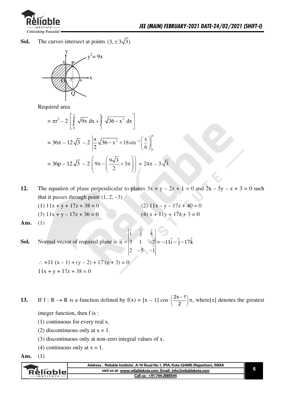

The curves intersect at points  $(3, \pm 3\sqrt{3})$ Sol.



Required area

$$
= \pi r^2 - 2 \left[ \int_0^3 \sqrt{9x} \, dx + \int_3^6 \sqrt{36 - x^2} \, dx \right]
$$
  
= 36\pi - 12\sqrt{3} - 2 \left[ \frac{x}{2} \sqrt{36 - x^2} + 18 \sin^{-1} \left( \frac{x}{6} \right) \right]\_3^6  
= 36p - 12\sqrt{3} - 2 \left( 9\pi - \left( \frac{9\sqrt{3}}{2} + 3\pi \right) \right) = 24\pi - 3\sqrt{3}

12. The equation of plane perpendicular to planes  $3x + y - 2z + 1 = 0$  and  $2x - 5y - z + 3 = 0$  such that it passes through point  $(1, 2, -3)$ 

| $(1)$ 11x + y + 17z + 38 = 0 | $(2)$ 11x - y - 17z + 40 = 0 |
|------------------------------|------------------------------|
| $(3)$ 11x + y - 17z + 36 = 0 | $(4) x + 11y + 17z + 3 = 0$  |

 $(1)$ Ans.

Normal vector of required plane is  $\vec{n} = \begin{vmatrix} \hat{i} & \hat{j} & \hat{k} \\ 3 & 1 & -2 \\ 2 & -5 & -1 \end{vmatrix} = -11\hat{i} - \hat{j} - 17\hat{k}$ Sol.

 $\therefore$  +11 (x-1) + (y-2) + 17 (z+3) = 0  $11x + y + 17z + 38 = 0$ 

If  $f: R \to R$  is a function defined by  $f(x) = [x - 1] \cos \left( \frac{2x - 1}{2} \right) \pi$ , where [x] denotes the greatest 13.

integer function, then f is:

- $(1)$  continuous for every real x.
- (2) discontinuous only at  $x = 1$ .
- (3) discontinuous only at non-zero integral values of x.
- (4) continuous only at  $x = 1$ .

Ans.  $(1)$ 

| visit us at: www.reliablekota.com. Email: info@reliablekota.com |                  | Address : 'Reliable Institute', A-10 Road No.1, IPIA, Kota-324005 (Rajasthan), INDIA |  |
|-----------------------------------------------------------------|------------------|--------------------------------------------------------------------------------------|--|
|                                                                 | <u>Réliablel</u> |                                                                                      |  |
| Call us: +91-744-2665544                                        |                  |                                                                                      |  |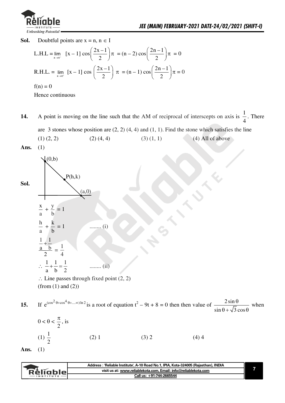

Sol. Doubtful points are  $x = n$ ,  $n \in I$ 

L.H.L = 
$$
\lim_{x \to n^{-}} [x - 1] \cos \left( \frac{2x - 1}{2} \right) \pi = (n - 2) \cos \left( \frac{2n - 1}{2} \right) \pi = 0
$$
  
R.H.L. =  $\lim_{x \to n^{+}} [x - 1] \cos \left( \frac{2x - 1}{2} \right) \pi = (n - 1) \cos \left( \frac{2n - 1}{2} \right) \pi = 0$   
f(n) = 0

Hence continuous

- A point is moving on the line such that the AM of reciprocal of interscepts on axis is  $\frac{1}{4}$ . There 14. are 3 stones whose position are  $(2, 2)$   $(4, 4)$  and  $(1, 1)$ . Find the stone which satisfies the line  $(1)$  $(2, 2)$  $(2)$   $(4, 4)$  $(3)$   $(1, 1)$  $(4)$  All of above
- Ans.  $(1)$

 $(0,b)$  $P(h,k)$ Sol.  $(a,0)$  $\frac{x}{a} + \frac{y}{b} = 1$  $\frac{h}{a} + \frac{k}{b} = 1$  $......(i)$  $\frac{\frac{1}{a} + \frac{1}{b}}{2} = \frac{1}{4}$  $\therefore \frac{1}{a} + \frac{1}{b} = \frac{1}{2}$ ........ $(ii)$  $\therefore$  Line passes through fixed point (2, 2)

(from  $(1)$  and  $(2)$ )

If  $e^{(\cos^2 \theta + \cos^4 \theta + \dots \infty) \ln 2}$  is a root of equation  $t^2 - 9t + 8 = 0$  then then value of  $\frac{2 \sin \theta}{\sin \theta + \sqrt{3} \cos \theta}$  when 15.

$$
0 < \theta < \frac{\pi}{2}, \text{ is}
$$
\n
$$
(1) \frac{1}{2} \qquad (2) 1 \qquad (3) 2 \qquad (4) 4
$$

Ans.  $(1)$ 

| : 'Reliable Institute', A-10 Road No.1, IPIA, Kota-324005 (Rajasthan), INDIA |  |
|------------------------------------------------------------------------------|--|
| visit us at: www.reliablekota.com, Email: info@reliablekota.com<br>Rèligblel |  |
| Call us: +91-744-2665544<br><b>INSTITUTE</b>                                 |  |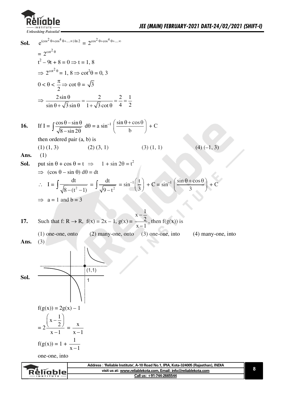

**Sol.**   $e^{(\cos^2 \theta + \cos^4 \theta + \dots \infty) \ln 2} = 2^{\cos^2 \theta + \cos^4 \theta + \dots \infty}$  $=2^{\cot^2\theta}$  $t^2-9t+8=0 \Rightarrow t=1, 8$  $\Rightarrow 2^{\cot^2 \theta} = 1, 8 \Rightarrow \cot^2 \theta = 0, 3$  $0<\theta<$ /  $\frac{\pi}{2}$   $\Rightarrow$  cot  $\theta = \sqrt{3}$  $\Rightarrow \frac{2\sin\theta}{\sqrt{2\pi}} = \frac{2}{\sqrt{2\pi}} = \frac{2}{2} = \frac{1}{2}$  $\sin \theta + \sqrt{3} \sin \theta$   $1 + \sqrt{3} \cot \theta$  4 2  $\frac{\theta}{\theta} = \frac{2}{\sqrt{2}} = \frac{2}{\sqrt{2}} = \frac{2}{\sqrt{2}}$  $\theta$  +  $\sqrt{3}$  sin  $\theta$  1 +  $\sqrt{3}$  cot  $\theta$ **16.** If  $I = \int \frac{\cos \theta - \sin \theta}{\sqrt{8 - \sin 2\theta}}$  $\frac{\sin \theta - \sin \theta}{8 - \sin 2\theta}$  d $\theta = a \sin^{-1} \left( \frac{\sin \theta + \cos \theta}{b} \right)$ .  $\mathbf b$  $+C$ then ordered pair  $(a, b)$  is (1) (1, 3)  $(2)(3, 1)$   $(3)(1, 1)$   $(4)(-1, 3)$ **Ans.** (1) **Sol.** put  $\sin \theta + \cos \theta = t \implies 1 + \sin 2\theta = t^2$  $\Rightarrow$   $(\cos \theta - \sin \theta) d\theta = dt$  $\therefore$  I =  $\int \frac{\mathrm{d}t}{\sqrt{8-(t^2-1)}}$  $8 - (t^2 - 1)$  $\equiv$  $\int \frac{\mathrm{dt}}{\sqrt{9-t^2}}$  $\frac{dt}{9-t^2} = \sin^{-1}\left(\frac{t}{3}\right).$  $\left(\frac{t}{3}\right) + C = \sin^{-1}\left(\frac{\sin\theta + \cos\theta}{3}\right)$  $\overline{\mathbf{3}}$  $+ C$  $\Rightarrow$  a = 1 and b = 3 **17.** Such that  $f: R \to R$ ,  $f(x) = 2x - 1$ ,  $g(x) = 1$ .  $x - \frac{1}{2}$ /  $x - 1$ - - , then  $f(g(x))$  is  $(1)$  one-one, onto  $(2)$  many-one, onto  $(3)$  one-one, into  $(4)$  many-one, into Ans.  $(3)$ **Sol.**   $(1,1)$ 1  $f(g(x)) = 2g(x) - 1$  $=2$  $x-\frac{1}{2}$ /  $x - 1$  $\left(x-\frac{1}{2}\right)$ -  $=\frac{\mathbf{x}}{x}$  $x - 1$  $f(g(x)) = 1 + \frac{1}{x}$  $x - 1$ one-one, into

|                  | · 'Reliable Institute', A-10 Road No.1, IPIA, Kota-324005 (Rajasthan), INDIA |  |
|------------------|------------------------------------------------------------------------------|--|
| vellaniel        | visit us at: www.reliablekota.com, Email: info@reliablekota.com              |  |
| <b>INSTITUTE</b> | Call us: +91-744-2665544                                                     |  |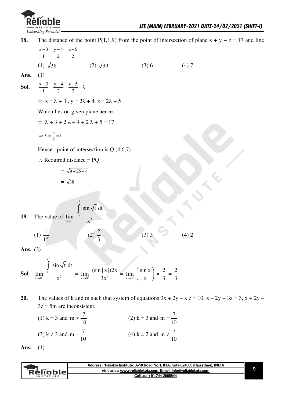

**18.** The distance of the point P(1,1,9) from the point of intersection of plane  $x + y + z = 17$  and line

$$
\frac{x-3}{1} = \frac{y-4}{2} = \frac{z-5}{2}
$$
  
(1)  $\sqrt{38}$  (2)  $\sqrt{39}$  (3) 6 (4) 7

Ans.  $(1)$ 

**Sol.** 
$$
\frac{x-3}{1} = \frac{y-4}{2} = \frac{z-5}{2} = \lambda
$$

 $\Rightarrow$  x =  $\lambda$  + 3, y =  $2\lambda$  + 4, z =  $2\lambda$  + 5

Which lies on given plane hence

$$
\Rightarrow \lambda + 3 + 2\lambda + 4 + 2\lambda + 5 = 17
$$

$$
\Rightarrow \lambda = \frac{5}{5} = 1
$$

Hence, point of intersection is  $Q(4,6,7)$ 

 $\therefore$  Required distance = PQ

$$
= \sqrt{9 + 25 + 4}
$$

$$
= \sqrt{38}
$$

**19.** The value of  $\lim_{x\to 0^+} \frac{0}{x}$  $\int$  $x^2$  $x^3$  $\sin \sqrt{t}$  dt

$$
(1) \frac{1}{15} \qquad (2) \frac{2}{3}
$$

 $\overline{\mathbf{3}}$ 

 $(3) 3$   $(4) 2$ 

Ans.  $(2)$ 

**Sol.** 
$$
\lim_{x \to 0^+} \frac{\int_0^{x^2} \sin \sqrt{t} dt}{x^3} = \lim_{x \to 0^+} \frac{(\sin |x|) 2x}{3x^2} = \lim_{x \to 0^+} \left( \frac{\sin x}{x} \right) \times \frac{2}{3} = \frac{2}{3}
$$

**20.** The values of k and m such that system of equations  $3x + 2y - k z = 10$ ,  $x - 2y + 3z = 3$ ,  $x + 2y 3z = 5m$  are inconsistent.

(1) 
$$
k = 3
$$
 and  $m \neq \frac{7}{10}$   
(2)  $k = 3$  and  $m = \frac{7}{10}$   
(3)  $k \neq 3$  and  $m = \frac{7}{10}$   
(4)  $k = 2$  and  $m \neq \frac{7}{10}$ 

**Ans.** (1)

| visit us at: www.reliablekota.com, Email: info@reliablekota.com<br>- Reliable_ |  |
|--------------------------------------------------------------------------------|--|
| Call us: +91-744-2665544<br><b>INSTITUTE</b>                                   |  |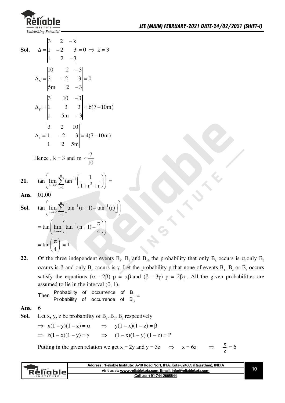

**Sol.** 
$$
\Delta = \begin{vmatrix} 3 & 2 & -k \\ 1 & -2 & 3 \\ 1 & 2 & -3 \end{vmatrix} = 0 \implies k = 3
$$
  
\n $\Delta_x = \begin{vmatrix} 10 & 2 & -3 \\ 3 & -2 & 3 \\ 5m & 2 & -3 \end{vmatrix} = 0$   
\n $\Delta_y = \begin{vmatrix} 3 & 10 & -3 \\ 1 & 3 & 3 \\ 1 & 5m & -3 \end{vmatrix} = 6(7 - 10m)$   
\n $\Delta_z = \begin{vmatrix} 3 & 2 & 10 \\ 1 & -2 & 3 \\ 1 & 2 & 5m \end{vmatrix} = 4(7 - 10m)$ 

Hence,  $k = 3$  and  $m \neq \frac{7}{10}$ 

$$
\textbf{21.} \qquad \tan\left(\lim_{n\to\infty}\sum_{r=1}^n\tan^{-1}\left(\frac{1}{1+r^2+r}\right)\right) =
$$

01.00 Ans.

**Sol.** 
$$
\tan\left(\lim_{n\to\infty}\sum_{r=1}^{n}\left[\tan^{-1}(r+1)-\tan^{-1}(r)\right]\right)
$$

$$
=\tan\left(\lim_{n\to\infty}\left(\tan^{-1}(n+1)-\frac{\pi}{4}\right)\right)
$$

$$
=\tan\left(\frac{\pi}{4}\right)=1
$$

Of the three independent events B<sub>1</sub>, B<sub>2</sub> and B<sub>3</sub>, the probability that only B<sub>1</sub> occurs is  $\alpha$ , only B<sub>2</sub> 22. occurs is  $\beta$  and only B<sub>3</sub> occurs is  $\gamma$ . Let the probability p that none of events B<sub>1</sub>, B<sub>2</sub> or B<sub>3</sub> occurs satisfy the equations  $(\alpha - 2\beta)$   $p = \alpha\beta$  and  $(\beta - 3\gamma)$   $p = 2\beta\gamma$ . All the given probabilities are assumed to lie in the interval  $(0, 1)$ .

Then 
$$
\frac{\text{Probability of occurrence of }B_1}{\text{Probability of occurrence of }B_3}
$$

6 Ans.

**Sol.** Let x, y, z be probability of 
$$
B_1
$$
,  $B_2$ ,  $B_3$  respectively

$$
\Rightarrow x(1-y)(1-z) = \alpha \Rightarrow y(1-x)(1-z) = \beta
$$
  

$$
\Rightarrow z(1-x)(1-y) = \gamma \Rightarrow (1-x)(1-y)(1-z) = P
$$

 $x = 6z$   $\Rightarrow$   $\frac{x}{7} = 6$ Putting in the given relation we get  $x = 2y$  and  $y = 3z \implies$ 

|                   | Address: 'Reliable Institute', A-10 Road No.1, IPIA, Kota-324005 (Rajasthan), INDIA |  |
|-------------------|-------------------------------------------------------------------------------------|--|
| Réliable          | visit us at: www.reliablekota.com, Email: info@reliablekota.com                     |  |
| $\cdot$ INSTITUTE | Call us: +91-744-2665544                                                            |  |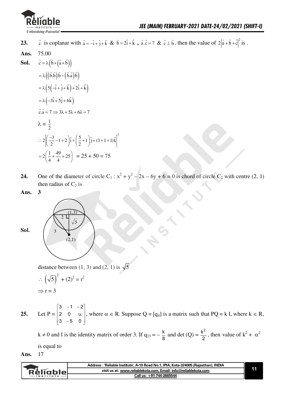

c is coplanar with  $\vec{a} = -\hat{i} + \hat{j} + \hat{k}$  &  $\vec{b} = 2\hat{i} + \hat{k}$ ,  $\vec{a} \cdot \vec{c} = 7$  &  $\vec{c} \perp \vec{b}$ , then the value of  $2|\vec{a} + \vec{b} + \vec{c}|^2$  is. 23.

75.00 Ans.

**Sol.** 
$$
\vec{c} = \lambda (\vec{b} \times (\vec{a} \times \vec{b}))
$$

$$
= \lambda ((\vec{b} \cdot \vec{b}) \vec{b} - (\vec{b} \cdot \vec{a}) \vec{b})
$$

$$
= \lambda (5(-\hat{i} + \hat{j} + \hat{k}) + 2\hat{i} + \hat{k})
$$

$$
= \lambda (-3\hat{i} + 5\hat{j} + 6\hat{k})
$$

$$
\vec{c} \cdot \vec{a} = 7 \Rightarrow 3\lambda + 5\lambda + 6\lambda = 7
$$

$$
\lambda = \frac{1}{2}
$$

$$
\therefore 2 \left| \left( \frac{-3}{2} - 1 + 2 \right) \hat{i} + \left( \frac{5}{2} + 1 \right) \hat{j} + (3 + 1 + 1)\hat{k} \right|^2
$$

$$
= 2 \left( \frac{1}{4} + \frac{49}{4} + 25 \right) = 25 + 50 = 75
$$

- One of the diameter of circle C<sub>1</sub>:  $x^2 + y^2 2x 6y + 6 = 0$  is chord of circle C<sub>2</sub> with centre (2, 1) 24. then radius of  $C_2$  is
- Ans. 3



distance between (1, 3) and (2, 1) is  $\sqrt{5}$ 

$$
\therefore \left(\sqrt{5}\right)^2 + (2)^2 = r^2
$$
  
\n
$$
\Rightarrow r = 3
$$

Let P =  $\begin{bmatrix} 3 & -1 & -2 \\ 2 & 0 & \alpha \\ 3 & -5 & 0 \end{bmatrix}$ , where  $\alpha \in R$ . Suppose Q = [q<sub>ij</sub>] is a matrix such that PQ = k I, where k  $\in R$ , 25.

 $k \neq 0$  and I is the identity matrix of order 3. If  $q_{23} = -\frac{k}{8}$  and det  $(Q) = \frac{k^2}{2}$ , then value of  $k^2 + \alpha^2$ is equal to

17 Ans.

| : ˈReliable Institute', A-10 Road No.1, IPIA, Kota-324005 (Rajasthan), INDIA<br>Address |  |
|-----------------------------------------------------------------------------------------|--|
| visit us at: www.reliablekota.com, Email: info@reliablekota.com                         |  |
| Call us: +91-744-2665544                                                                |  |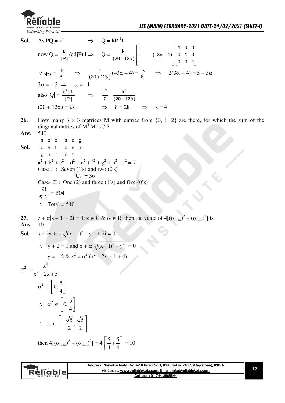

- $\Rightarrow$  Q = kP<sup>-1</sup>I Sol. As  $PQ = kI$ now Q =  $\frac{k}{|P|}$ (adjP) I  $\Rightarrow$  Q =  $\frac{k}{(20+12\alpha)}\begin{bmatrix} - & - & - \\ - & - & (-3\alpha-4) \\ - & - & - & - \end{bmatrix}\begin{bmatrix} 1 & 0 & 0 \\ 0 & 1 & 0 \\ 0 & 0 & 1 \end{bmatrix}$  $\therefore$  q<sub>23</sub> =  $\frac{-k}{8}$   $\Rightarrow$   $\frac{k}{(20+12\alpha)}(-3\alpha-4) = \frac{-k}{8}$   $\Rightarrow$  2(3 $\alpha + 4$ ) = 5 + 3 $\alpha$  $3\alpha = -3 \implies \alpha = -1$ also  $|Q| = \frac{k^3 |I|}{|P|}$   $\Rightarrow$   $\frac{k^2}{2} = \frac{k^3}{(20 + 12\alpha)}$  $(20 + 12\alpha) = 2k$  $\Rightarrow$  $8 = 2k$  $\Rightarrow k=4$
- 26. How many  $3 \times 3$  matrices M with entries from  $\{0, 1, 2\}$  are there, for which the sum of the diagonal entries of  $M<sup>T</sup>M$  is 7 ? 540
- Ans.

 $\begin{bmatrix} a & b & c \end{bmatrix} \begin{bmatrix} a & d & g \end{bmatrix}$  $|d e f| |b e h$ Sol.  $\left\lfloor g \hspace{0.1cm} h \hspace{0.1cm} i \right\rfloor \left\lfloor c \hspace{0.1cm} f \hspace{0.1cm} i \right\rfloor$  $a^{2} + b^{2} + c^{2} + d^{2} + e^{2} + f^{2} + g^{2} + h^{2} + i^{2} = 7$ Case I : Seven (1's) and two (0's)  ${}^{9}C_2 = 36$ Case- II : One (2) and three (1's) and five (0's)  $\frac{9!}{5!3!}$  = 504  $\therefore$  Total = 540

 $z + \alpha |z - 1| + 2i = 0$ ;  $z \in C$  &  $\alpha \in R$ , then the value of  $4[(\alpha_{max})^2 + (\alpha_{min})^2]$  is 27. 10

Ans.

**Sol.** 
$$
x + iy + \alpha \sqrt{(x-1)^2 + y^2 + 2i} = 0
$$

$$
\therefore y + 2 = 0 \text{ and } x + \alpha \sqrt{(x-1)^2 + y^2} = 0
$$
  

$$
y = -2 \& x^2 = \alpha^2 (x^2 - 2x + 1 + 4)
$$

$$
\alpha^{2} = \frac{x^{2}}{x^{2} - 2x + 5}
$$
\n
$$
\alpha^{2} \in \left[0, \frac{5}{4}\right]
$$
\n
$$
\therefore \alpha^{2} \in \left[0, \frac{5}{4}\right]
$$
\n
$$
\therefore \alpha \in \left[-\frac{\sqrt{5}}{2}, \frac{\sqrt{5}}{2}\right]
$$
\n
$$
\text{then } 4[(\alpha_{\text{max}})^{2} + (\alpha_{\text{min}})^{2}] = 4\left[\frac{5}{4} + \frac{5}{4}\right] = 10
$$

| visit us at: www.reliablekota.com, Email: info@reliablekota.com<br>Rèliable<br>Call us: +91-744-2665544<br>$-$ INSTITUTE $-$ | Address : 'Reliable Institute', A-10 Road No.1, IPIA, Kota-324005 (Rajasthan), INDIA |  |
|------------------------------------------------------------------------------------------------------------------------------|--------------------------------------------------------------------------------------|--|
|                                                                                                                              |                                                                                      |  |
|                                                                                                                              |                                                                                      |  |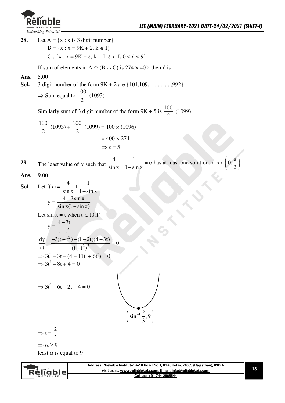

Let  $A = \{x : x \text{ is } 3 \text{ digit number}\}\$ 28.  $B = \{x : x = 9K + 2, k \in I\}$  $C: \{x : x = 9K + \ell, k \in I, \ell \in I, 0 < \ell < 9\}$ If sum of elements in A  $\cap$  (B  $\cup$  C) is 274 x 400 then  $\ell$  is Ans. 5.00 3 digit number of the form  $9K + 2$  are  $\{101, 109, \dots, 992\}$ Sol.  $\Rightarrow$  Sum equal to  $\frac{100}{2}$  (1093) Similarly sum of 3 digit number of the form  $9K + 5$  is  $\frac{100}{2}$  (1099)  $\frac{100}{2}$  (1093) +  $\frac{100}{2}$  (1099) = 100 × (1096)  $= 400 \times 274$  $\Rightarrow \ell = 5$ The least value of  $\alpha$  such that  $\frac{4}{\sin x} + \frac{1}{1 - \sin x} = \alpha$  has at least one solution in  $x \in \left(0, \frac{\pi}{2}\right)$ 29. 9.00 Ans. Let  $f(x) = \frac{4}{\sin x} + \frac{1}{1 - \sin x}$ Sol.  $y = \frac{4 - 3\sin x}{\sin x(1 - \sin x)}$ Let  $\sin x = t$  when  $t \in (0,1)$  $y = \frac{4-3t}{t-t^2}$  $\frac{dy}{dt} = \frac{-3(t - t^2) - (1 - 2t)(4 - 3t)}{(t - t^2)^2} = 0$  $\Rightarrow$  3t<sup>2</sup> - 3t - (4 - 11t + 6t<sup>2</sup>) = 0  $\Rightarrow 3t^2 - 8t + 4 = 0$  $\Rightarrow$  3t<sup>2</sup> – 6t – 2t + 4 = 0  $\left(\sin^{-1}\frac{2}{3},9\right)$  $\Rightarrow t = \frac{2}{3}$  $\Rightarrow \alpha \geq 9$ least  $\alpha$  is equal to 9

|             | Address: 'Reliable Institute', A-10 Road No.1, IPIA, Kota-324005 (Rajasthan), INDIA |  |
|-------------|-------------------------------------------------------------------------------------|--|
| RéliableL   | visit us at: www.reliablekota.com, Email: info@reliablekota.com                     |  |
| INSTITUTE - | Call us: +91-744-2665544                                                            |  |